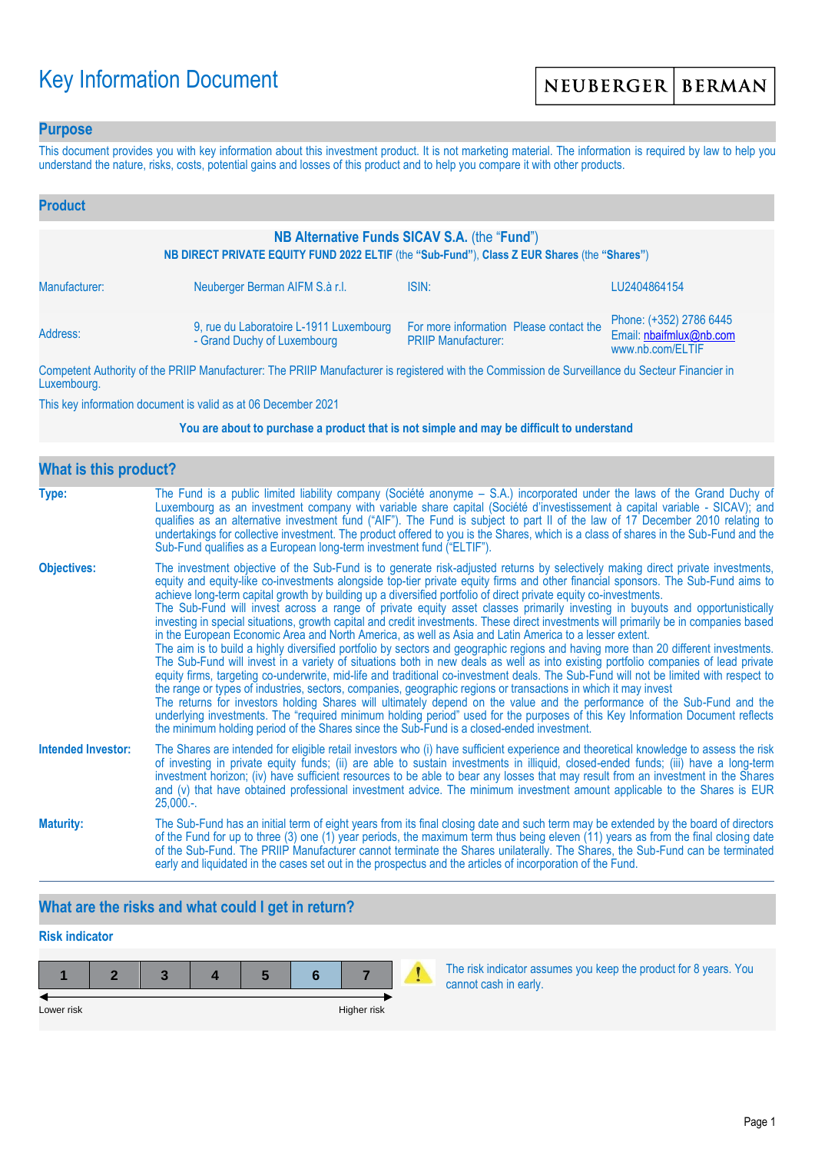# Key Information Document

### **Purpose**

This document provides you with key information about this investment product. It is not marketing material. The information is required by law to help you understand the nature, risks, costs, potential gains and losses of this product and to help you compare it with other products.

| <b>Product</b>                                                                                                                               |                                                                        |                                                                                                                 |                                                                        |  |  |  |
|----------------------------------------------------------------------------------------------------------------------------------------------|------------------------------------------------------------------------|-----------------------------------------------------------------------------------------------------------------|------------------------------------------------------------------------|--|--|--|
| NB Alternative Funds SICAV S.A. (the "Fund")<br>NB DIRECT PRIVATE EQUITY FUND 2022 ELTIF (the "Sub-Fund"), Class Z EUR Shares (the "Shares") |                                                                        |                                                                                                                 |                                                                        |  |  |  |
| Manufacturer:                                                                                                                                | Neuberger Berman AIFM S.à r.l.                                         | ISIN:                                                                                                           | LU2404864154                                                           |  |  |  |
| Address:                                                                                                                                     | 9, rue du Laboratoire L-1911 Luxembourg<br>- Grand Duchy of Luxembourg | For more information Please contact the<br><b>PRIIP Manufacturer:</b>                                           | Phone: (+352) 2786 6445<br>Email: nbaifmlux@nb.com<br>www.nb.com/ELTIF |  |  |  |
|                                                                                                                                              |                                                                        | The property of the contract of the contract of the contract of the contract of the contract of the contract of |                                                                        |  |  |  |

Competent Authority of the PRIIP Manufacturer: The PRIIP Manufacturer is registered with the Commission de Surveillance du Secteur Financier in Luxembourg.

This key information document is valid as at 06 December 2021

#### **You are about to purchase a product that is not simple and may be difficult to understand**

| <b>What is this product?</b> |                                                                                                                                                                                                                                                                                                                                                                                                                                                                                                                                                                                                                                                                                                                                                                                                                                                                                                                                                                                                                                                                                                                                                                                                                                                                                                                                                                                                                                                                                                                                                                                                                                                                               |  |  |  |  |
|------------------------------|-------------------------------------------------------------------------------------------------------------------------------------------------------------------------------------------------------------------------------------------------------------------------------------------------------------------------------------------------------------------------------------------------------------------------------------------------------------------------------------------------------------------------------------------------------------------------------------------------------------------------------------------------------------------------------------------------------------------------------------------------------------------------------------------------------------------------------------------------------------------------------------------------------------------------------------------------------------------------------------------------------------------------------------------------------------------------------------------------------------------------------------------------------------------------------------------------------------------------------------------------------------------------------------------------------------------------------------------------------------------------------------------------------------------------------------------------------------------------------------------------------------------------------------------------------------------------------------------------------------------------------------------------------------------------------|--|--|--|--|
| Type:                        | The Fund is a public limited liability company (Société anonyme – S.A.) incorporated under the laws of the Grand Duchy of<br>Luxembourg as an investment company with variable share capital (Société d'investissement à capital variable - SICAV); and<br>qualifies as an alternative investment fund ("AIF"). The Fund is subject to part II of the law of 17 December 2010 relating to<br>undertakings for collective investment. The product offered to you is the Shares, which is a class of shares in the Sub-Fund and the<br>Sub-Fund qualifies as a European long-term investment fund ("ELTIF").                                                                                                                                                                                                                                                                                                                                                                                                                                                                                                                                                                                                                                                                                                                                                                                                                                                                                                                                                                                                                                                                    |  |  |  |  |
| <b>Objectives:</b>           | The investment objective of the Sub-Fund is to generate risk-adjusted returns by selectively making direct private investments,<br>equity and equity-like co-investments alongside top-tier private equity firms and other financial sponsors. The Sub-Fund aims to<br>achieve long-term capital growth by building up a diversified portfolio of direct private equity co-investments.<br>The Sub-Fund will invest across a range of private equity asset classes primarily investing in buyouts and opportunistically<br>investing in special situations, growth capital and credit investments. These direct investments will primarily be in companies based<br>in the European Economic Area and North America, as well as Asia and Latin America to a lesser extent.<br>The aim is to build a highly diversified portfolio by sectors and geographic regions and having more than 20 different investments.<br>The Sub-Fund will invest in a variety of situations both in new deals as well as into existing portfolio companies of lead private<br>equity firms, targeting co-underwrite, mid-life and traditional co-investment deals. The Sub-Fund will not be limited with respect to<br>the range or types of industries, sectors, companies, geographic regions or transactions in which it may invest<br>The returns for investors holding Shares will ultimately depend on the value and the performance of the Sub-Fund and the<br>underlying investments. The "required minimum holding period" used for the purposes of this Key Information Document reflects<br>the minimum holding period of the Shares since the Sub-Fund is a closed-ended investment. |  |  |  |  |
| <b>Intended Investor:</b>    | The Shares are intended for eligible retail investors who (i) have sufficient experience and theoretical knowledge to assess the risk<br>of investing in private equity funds; (ii) are able to sustain investments in illiquid, closed-ended funds; (iii) have a long-term<br>investment horizon; (iv) have sufficient resources to be able to bear any losses that may result from an investment in the Shares<br>and (v) that have obtained professional investment advice. The minimum investment amount applicable to the Shares is EUR<br>$25,000.$ -.                                                                                                                                                                                                                                                                                                                                                                                                                                                                                                                                                                                                                                                                                                                                                                                                                                                                                                                                                                                                                                                                                                                  |  |  |  |  |
| <b>Maturity:</b>             | The Sub-Fund has an initial term of eight years from its final closing date and such term may be extended by the board of directors<br>of the Fund for up to three (3) one (1) year periods, the maximum term thus being eleven (11) years as from the final closing date<br>of the Sub-Fund. The PRIIP Manufacturer cannot terminate the Shares unilaterally. The Shares, the Sub-Fund can be terminated<br>early and liquidated in the cases set out in the prospectus and the articles of incorporation of the Fund.                                                                                                                                                                                                                                                                                                                                                                                                                                                                                                                                                                                                                                                                                                                                                                                                                                                                                                                                                                                                                                                                                                                                                       |  |  |  |  |

# **What are the risks and what could I get in return?**

# **Risk indicator**

| Lower risk |  |  | Higher risk |  |
|------------|--|--|-------------|--|

The risk indicator assumes you keep the product for 8 years. You cannot cash in early.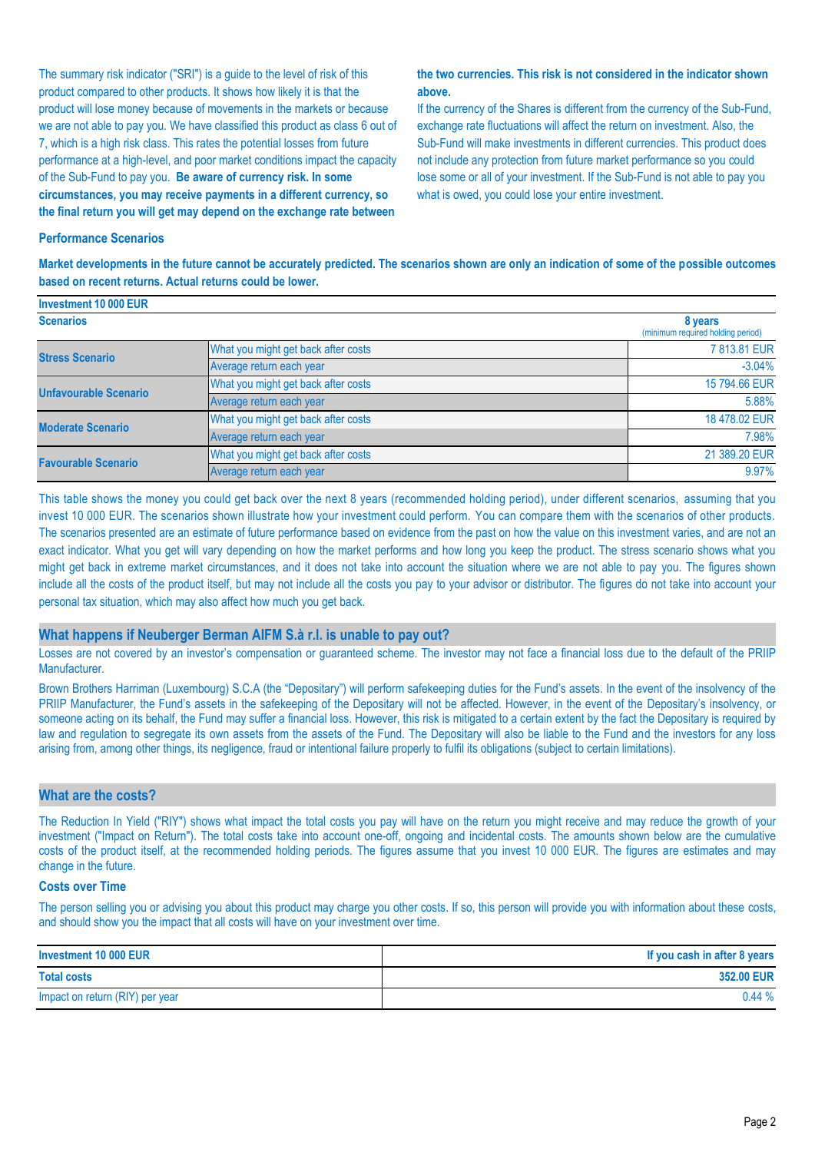The summary risk indicator ("SRI") is a guide to the level of risk of this product compared to other products. It shows how likely it is that the product will lose money because of movements in the markets or because we are not able to pay you. We have classified this product as class 6 out of 7, which is a high risk class. This rates the potential losses from future performance at a high-level, and poor market conditions impact the capacity of the Sub-Fund to pay you. **Be aware of currency risk. In some circumstances, you may receive payments in a different currency, so the final return you will get may depend on the exchange rate between** 

#### **the two currencies. This risk is not considered in the indicator shown above.**

If the currency of the Shares is different from the currency of the Sub-Fund, exchange rate fluctuations will affect the return on investment. Also, the Sub-Fund will make investments in different currencies. This product does not include any protection from future market performance so you could lose some or all of your investment. If the Sub-Fund is not able to pay you what is owed, you could lose your entire investment.

#### **Performance Scenarios**

**Market developments in the future cannot be accurately predicted. The scenarios shown are only an indication of some of the possible outcomes based on recent returns. Actual returns could be lower.**

| Investment 10 000 EUR        |                                              |               |
|------------------------------|----------------------------------------------|---------------|
| <b>Scenarios</b>             | 8 years<br>(minimum required holding period) |               |
| <b>Stress Scenario</b>       | What you might get back after costs          | 7813.81 EUR   |
|                              | Average return each year                     | $-3.04%$      |
| <b>Unfavourable Scenario</b> | What you might get back after costs          | 15 794,66 EUR |
|                              | Average return each year                     | 5.88%         |
| <b>Moderate Scenario</b>     | What you might get back after costs          | 18 478,02 EUR |
|                              | Average return each year                     | 7.98%         |
| <b>Favourable Scenario</b>   | What you might get back after costs          | 21 389.20 EUR |
|                              | Average return each year                     | 9.97%         |

This table shows the money you could get back over the next 8 years (recommended holding period), under different scenarios, assuming that you invest 10 000 EUR. The scenarios shown illustrate how your investment could perform. You can compare them with the scenarios of other products. The scenarios presented are an estimate of future performance based on evidence from the past on how the value on this investment varies, and are not an exact indicator. What you get will vary depending on how the market performs and how long you keep the product. The stress scenario shows what you might get back in extreme market circumstances, and it does not take into account the situation where we are not able to pay you. The figures shown include all the costs of the product itself, but may not include all the costs you pay to your advisor or distributor. The figures do not take into account your personal tax situation, which may also affect how much you get back.

#### **What happens if Neuberger Berman AIFM S.à r.l. is unable to pay out?**

Losses are not covered by an investor's compensation or guaranteed scheme. The investor may not face a financial loss due to the default of the PRIIP Manufacturer.

Brown Brothers Harriman (Luxembourg) S.C.A (the "Depositary") will perform safekeeping duties for the Fund's assets. In the event of the insolvency of the PRIIP Manufacturer, the Fund's assets in the safekeeping of the Depositary will not be affected. However, in the event of the Depositary's insolvency, or someone acting on its behalf, the Fund may suffer a financial loss. However, this risk is mitigated to a certain extent by the fact the Depositary is required by law and regulation to segregate its own assets from the assets of the Fund. The Depositary will also be liable to the Fund and the investors for any loss arising from, among other things, its negligence, fraud or intentional failure properly to fulfil its obligations (subject to certain limitations).

#### **What are the costs?**

The Reduction In Yield ("RIY") shows what impact the total costs you pay will have on the return you might receive and may reduce the growth of your investment ("Impact on Return"). The total costs take into account one-off, ongoing and incidental costs. The amounts shown below are the cumulative costs of the product itself, at the recommended holding periods. The figures assume that you invest 10 000 EUR. The figures are estimates and may change in the future.

#### **Costs over Time**

The person selling you or advising you about this product may charge you other costs. If so, this person will provide you with information about these costs, and should show you the impact that all costs will have on your investment over time.

| Investment 10 000 EUR           | If you cash in after 8 years |
|---------------------------------|------------------------------|
| <b>Total costs</b>              | 352.00 EUR                   |
| Impact on return (RIY) per year | 0.44%                        |